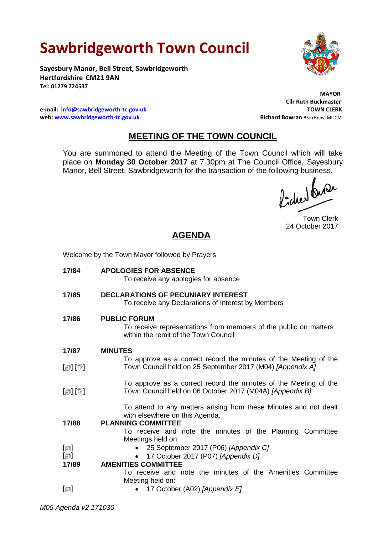# **Sawbridgeworth Town Council**

Welcome by the Town Mayor followed by Prayers

**Sayesbury Manor, Bell Street, Sawbridgeworth Hertfordshire CM21 9AN Tel: 01279 724537**

**e-mail: [info@sawbridgeworth-tc.gov.uk](mailto:info@sawbridgeworth-tc.gov.uk) TOWN CLERK web:** www.sawbridgeworth-tc.gov.uk **Richard Bowran** BSc.(Hons) MILCM

 **MAYOR Cllr Ruth Buckmaster**

# **MEETING OF THE TOWN COUNCIL**

You are summoned to attend the Meeting of the Town Council which will take place on **Monday 30 October 2017** at 7.30pm at The Council Office, Sayesbury Manor, Bell Street, Sawbridgeworth for the transaction of the following business.

Picked Que

Town Clerk 24 October 2017

# **AGENDA**

| 17/84                              | <b>APOLOGIES FOR ABSENCE</b><br>To receive any apologies for absence                                                             |
|------------------------------------|----------------------------------------------------------------------------------------------------------------------------------|
| 17/85                              | <b>DECLARATIONS OF PECUNIARY INTEREST</b><br>To receive any Declarations of Interest by Members                                  |
| 17/86                              | <b>PUBLIC FORUM</b><br>To receive representations from members of the public on matters<br>within the remit of the Town Council  |
| 17/87                              | <b>MINUTES</b>                                                                                                                   |
|                                    | To approve as a correct record the minutes of the Meeting of the                                                                 |
| [@] [V]                            | Town Council held on 25 September 2017 (M04) [Appendix A]                                                                        |
| [@] [V]                            | To approve as a correct record the minutes of the Meeting of the<br>Town Council held on 06 October 2017 (M04A) [Appendix B]     |
| 17/88                              | To attend to any matters arising from these Minutes and not dealt<br>with elsewhere on this Agenda.<br><b>PLANNING COMMITTEE</b> |
|                                    | To receive and note the minutes of the Planning Committee<br>Meetings held on:                                                   |
| $[\text{m}]$                       | • 25 September 2017 (P06) [Appendix C]                                                                                           |
| [@]                                | 17 October 2017 (P07) [Appendix D]                                                                                               |
| 17/89                              | <b>AMENITIES COMMITTEE</b>                                                                                                       |
|                                    | To receive and note the minutes of the Amenities Committee                                                                       |
|                                    | Meeting held on:                                                                                                                 |
| $\textsf{[} \textsf{1} \textsf{]}$ | 17 October (A02) [Appendix E]                                                                                                    |
|                                    |                                                                                                                                  |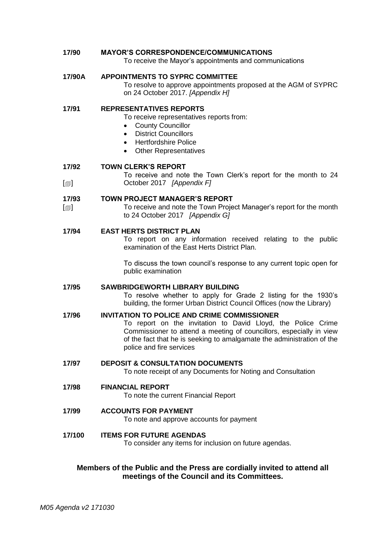| 17/90                     | <b>MAYOR'S CORRESPONDENCE/COMMUNICATIONS</b><br>To receive the Mayor's appointments and communications                                                                                                                                                                                          |
|---------------------------|-------------------------------------------------------------------------------------------------------------------------------------------------------------------------------------------------------------------------------------------------------------------------------------------------|
| 17/90A                    | <b>APPOINTMENTS TO SYPRC COMMITTEE</b><br>To resolve to approve appointments proposed at the AGM of SYPRC<br>on 24 October 2017. [Appendix H]                                                                                                                                                   |
| 17/91                     | <b>REPRESENTATIVES REPORTS</b><br>To receive representatives reports from:<br><b>County Councillor</b><br><b>District Councillors</b><br>$\bullet$<br><b>Hertfordshire Police</b><br>$\bullet$<br><b>Other Representatives</b><br>$\bullet$                                                     |
| 17/92                     | <b>TOWN CLERK'S REPORT</b>                                                                                                                                                                                                                                                                      |
| $[\blacksquare]$          | To receive and note the Town Clerk's report for the month to 24<br>October 2017 [Appendix F]                                                                                                                                                                                                    |
| 17/93<br>$[\blacksquare]$ | <b>TOWN PROJECT MANAGER'S REPORT</b><br>To receive and note the Town Project Manager's report for the month<br>to 24 October 2017 [Appendix G]                                                                                                                                                  |
| 17/94                     | <b>EAST HERTS DISTRICT PLAN</b><br>To report on any information received relating to the public<br>examination of the East Herts District Plan.                                                                                                                                                 |
|                           | To discuss the town council's response to any current topic open for<br>public examination                                                                                                                                                                                                      |
| 17/95                     | <b>SAWBRIDGEWORTH LIBRARY BUILDING</b><br>To resolve whether to apply for Grade 2 listing for the 1930's<br>building, the former Urban District Council Offices (now the Library)                                                                                                               |
| 17/96                     | <b>INVITATION TO POLICE AND CRIME COMMISSIONER</b><br>To report on the invitation to David Lloyd, the Police Crime<br>Commissioner to attend a meeting of councillors, especially in view<br>of the fact that he is seeking to amalgamate the administration of the<br>police and fire services |
| 17/97                     | <b>DEPOSIT &amp; CONSULTATION DOCUMENTS</b><br>To note receipt of any Documents for Noting and Consultation                                                                                                                                                                                     |
| 17/98                     | <b>FINANCIAL REPORT</b><br>To note the current Financial Report                                                                                                                                                                                                                                 |
| 17/99                     | <b>ACCOUNTS FOR PAYMENT</b><br>To note and approve accounts for payment                                                                                                                                                                                                                         |
| 17/100                    | <b>ITEMS FOR FUTURE AGENDAS</b><br>To consider any items for inclusion on future agendas.                                                                                                                                                                                                       |

#### **Members of the Public and the Press are cordially invited to attend all meetings of the Council and its Committees.**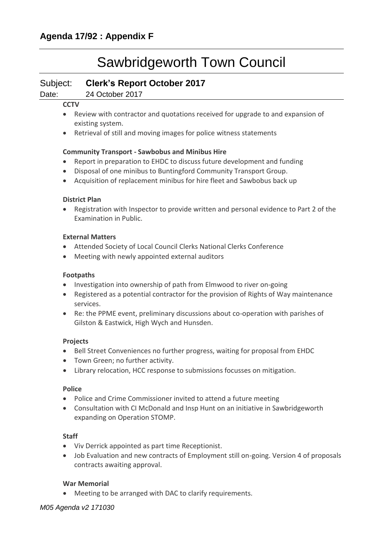# Sawbridgeworth Town Council

### Subject: **Clerk's Report October 2017**

Date: 24 October 2017

#### **CCTV**

- Review with contractor and quotations received for upgrade to and expansion of existing system.
- Retrieval of still and moving images for police witness statements

#### **Community Transport - [Sawbobus](http://www.sawbridgeworth-tc.gov.uk/town-information/town-council-services/sawbobus) and [Minibus Hire](http://www.sawbridgeworth-tc.gov.uk/town-information/town-council-services/minibus-hire)**

- Report in preparation to EHDC to discuss future development and funding
- Disposal of one minibus to Buntingford Community Transport Group.
- Acquisition of replacement minibus for hire fleet and Sawbobus back up

#### **District Plan**

 Registration with Inspector to provide written and personal evidence to Part 2 of the Examination in Public.

#### **External Matters**

- Attended Society of Local Council Clerks National Clerks Conference
- Meeting with newly appointed external auditors

#### **Footpaths**

- Investigation into ownership of path from Elmwood to river on-going
- Registered as a potential contractor for the provision of Rights of Way maintenance services.
- Re: the PPME event, preliminary discussions about co-operation with parishes of Gilston & Eastwick, High Wych and Hunsden.

#### **Projects**

- Bell Street Conveniences no further progress, waiting for proposal from EHDC
- Town Green; no further activity.
- Library relocation, HCC response to submissions focusses on mitigation.

#### **Police**

- Police and Crime Commissioner invited to attend a future meeting
- Consultation with CI McDonald and Insp Hunt on an initiative in Sawbridgeworth expanding on Operation STOMP.

#### **Staff**

- Viv Derrick appointed as part time Receptionist.
- Job Evaluation and new contracts of Employment still on-going. Version 4 of proposals contracts awaiting approval.

#### **War Memorial**

Meeting to be arranged with DAC to clarify requirements.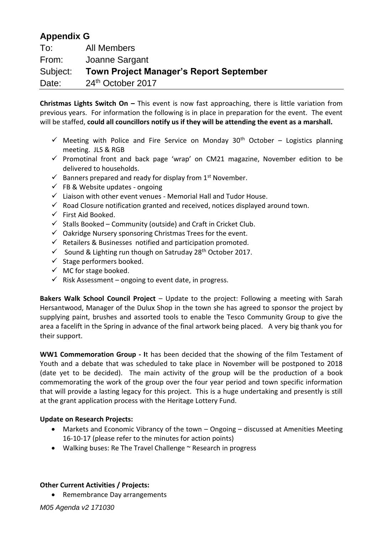# **Appendix G**

| To:      | All Members                                    |
|----------|------------------------------------------------|
| From:    | Joanne Sargant                                 |
| Subject: | <b>Town Project Manager's Report September</b> |
| Date:    | 24th October 2017                              |

**Christmas Lights Switch On –** This event is now fast approaching, there is little variation from previous years. For information the following is in place in preparation for the event. The event will be staffed, **could all councillors notify us if they will be attending the event as a marshall.** 

- $\checkmark$  Meeting with Police and Fire Service on Monday 30<sup>th</sup> October Logistics planning meeting. JLS & RGB
- $\checkmark$  Promotinal front and back page 'wrap' on CM21 magazine, November edition to be delivered to households.
- $\checkmark$  Banners prepared and ready for display from 1<sup>st</sup> November.
- $\checkmark$  FB & Website updates ongoing
- $\checkmark$  Liaison with other event venues Memorial Hall and Tudor House.
- $\checkmark$  Road Closure notification granted and received, notices displayed around town.
- $\checkmark$  First Aid Booked.
- $\checkmark$  Stalls Booked Community (outside) and Craft in Cricket Club.
- $\checkmark$  Oakridge Nursery sponsoring Christmas Trees for the event.
- $\checkmark$  Retailers & Businesses notified and participation promoted.
- $\checkmark$  Sound & Lighting run though on Satruday 28<sup>th</sup> October 2017.
- $\checkmark$  Stage performers booked.
- $\checkmark$  MC for stage booked.
- $\checkmark$  Risk Assessment ongoing to event date, in progress.

**Bakers Walk School Council Project** – Update to the project: Following a meeting with Sarah Hersantwood, Manager of the Dulux Shop in the town she has agreed to sponsor the project by supplying paint, brushes and assorted tools to enable the Tesco Community Group to give the area a facelift in the Spring in advance of the final artwork being placed. A very big thank you for their support.

**WW1 Commemoration Group - I**t has been decided that the showing of the film Testament of Youth and a debate that was scheduled to take place in November will be postponed to 2018 (date yet to be decided). The main activity of the group will be the production of a book commemorating the work of the group over the four year period and town specific information that will provide a lasting legacy for this project. This is a huge undertaking and presently is still at the grant application process with the Heritage Lottery Fund.

#### **Update on Research Projects:**

- Markets and Economic Vibrancy of the town Ongoing discussed at Amenities Meeting 16-10-17 (please refer to the minutes for action points)
- Walking buses: Re The Travel Challenge ~ Research in progress

#### **Other Current Activities / Projects:**

• Remembrance Day arrangements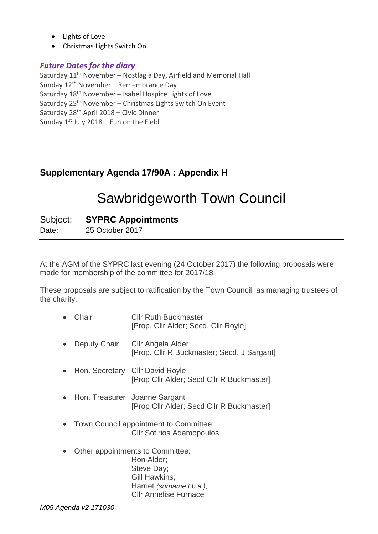- Lights of Love
- Christmas Lights Switch On

### *Future Dates for the diary*

Saturday  $11<sup>th</sup>$  November – Nostlagia Day, Airfield and Memorial Hall Sunday 12<sup>th</sup> November – Remembrance Day Saturday 18<sup>th</sup> November - Isabel Hospice Lights of Love Saturday 25<sup>th</sup> November – Christmas Lights Switch On Event Saturday 28th April 2018 – Civic Dinner Sunday  $1^{st}$  July 2018 – Fun on the Field

# **Supplementary Agenda 17/90A : Appendix H**

# Sawbridgeworth Town Council

### Subject: **SYPRC Appointments**

Date: 25 October 2017

At the AGM of the SYPRC last evening (24 October 2017) the following proposals were made for membership of the committee for 2017/18.

These proposals are subject to ratification by the Town Council, as managing trustees of the charity.

- Chair Cllr Ruth Buckmaster [Prop. Cllr Alder; Secd. Cllr Royle]
- Deputy Chair Cllr Angela Alder [Prop. Cllr R Buckmaster; Secd. J Sargant]
- Hon. Secretary Cllr David Royle [Prop Cllr Alder; Secd Cllr R Buckmaster]
- Hon. Treasurer Joanne Sargant [Prop Cllr Alder; Secd Cllr R Buckmaster]
- Town Council appointment to Committee: Cllr Sotirios Adamopoulos
- Other appointments to Committee: Ron Alder; Steve Day; Gill Hawkins; Harriet *(surname t.b.a.);*  Cllr Annelise Furnace